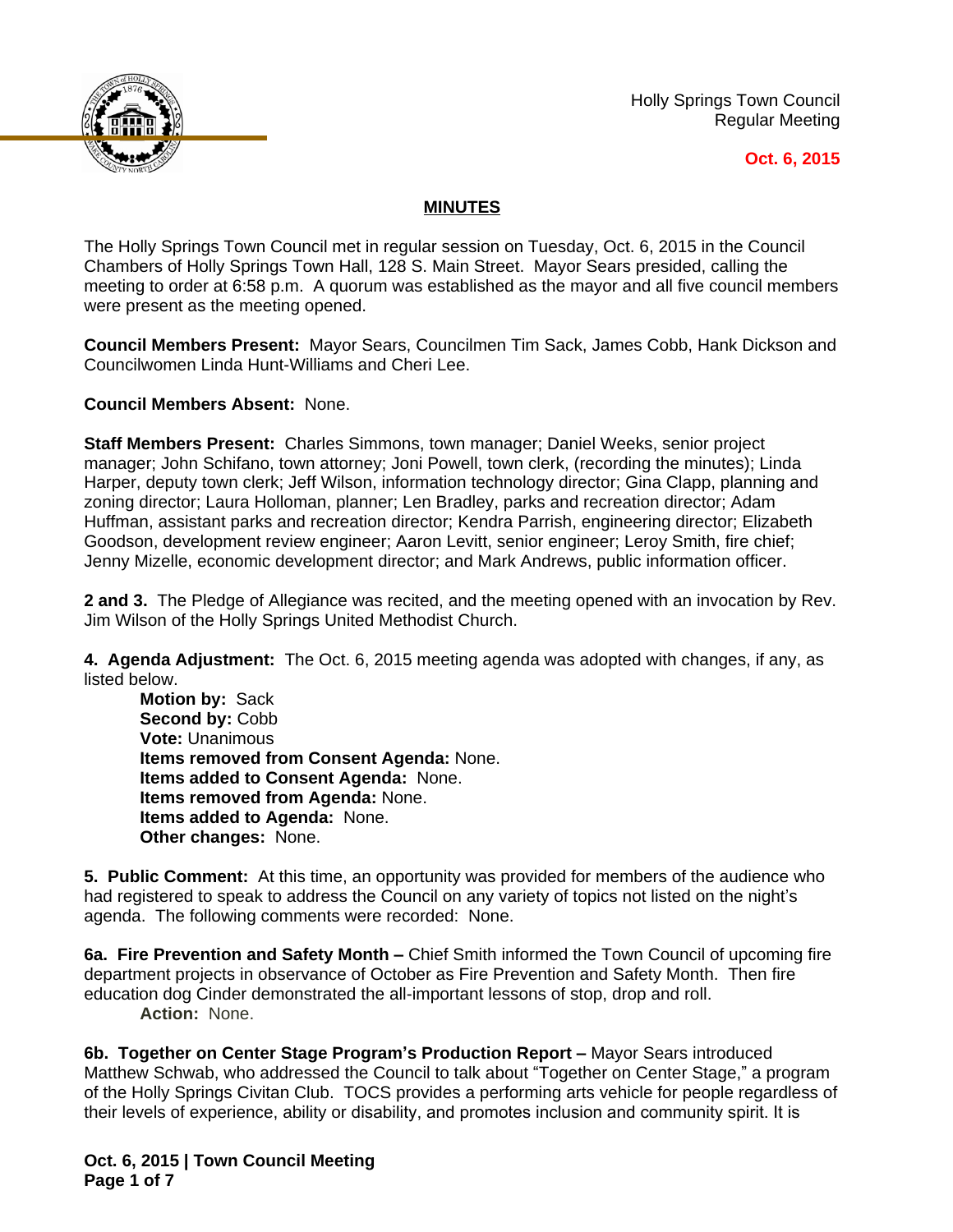

Holly Springs Town Council Regular Meeting

## **Oct. 6, 2015**

## **MINUTES**

The Holly Springs Town Council met in regular session on Tuesday, Oct. 6, 2015 in the Council Chambers of Holly Springs Town Hall, 128 S. Main Street. Mayor Sears presided, calling the meeting to order at 6:58 p.m. A quorum was established as the mayor and all five council members were present as the meeting opened.

**Council Members Present:** Mayor Sears, Councilmen Tim Sack, James Cobb, Hank Dickson and Councilwomen Linda Hunt-Williams and Cheri Lee.

**Council Members Absent:** None.

**Staff Members Present:** Charles Simmons, town manager; Daniel Weeks, senior project manager; John Schifano, town attorney; Joni Powell, town clerk, (recording the minutes); Linda Harper, deputy town clerk; Jeff Wilson, information technology director; Gina Clapp, planning and zoning director; Laura Holloman, planner; Len Bradley, parks and recreation director; Adam Huffman, assistant parks and recreation director; Kendra Parrish, engineering director; Elizabeth Goodson, development review engineer; Aaron Levitt, senior engineer; Leroy Smith, fire chief; Jenny Mizelle, economic development director; and Mark Andrews, public information officer.

**2 and 3.** The Pledge of Allegiance was recited, and the meeting opened with an invocation by Rev. Jim Wilson of the Holly Springs United Methodist Church.

**4. Agenda Adjustment:** The Oct. 6, 2015 meeting agenda was adopted with changes, if any, as listed below.

**Motion by:** Sack Second by: Cobb **Vote:** Unanimous **Items removed from Consent Agenda:** None. **Items added to Consent Agenda:** None. **Items removed from Agenda:** None. **Items added to Agenda:** None. **Other changes:** None.

**5. Public Comment:** At this time, an opportunity was provided for members of the audience who had registered to speak to address the Council on any variety of topics not listed on the night's agenda. The following comments were recorded: None.

**6a. Fire Prevention and Safety Month –** Chief Smith informed the Town Council of upcoming fire department projects in observance of October as Fire Prevention and Safety Month. Then fire education dog Cinder demonstrated the all-important lessons of stop, drop and roll. **Action:** None.

**6b. Together on Center Stage Program's Production Report –** Mayor Sears introduced Matthew Schwab, who addressed the Council to talk about "Together on Center Stage," a program of the Holly Springs Civitan Club. TOCS provides a performing arts vehicle for people regardless of their levels of experience, ability or disability, and promotes inclusion and community spirit. It is

**Oct. 6, 2015 | Town Council Meeting Page 1 of 7**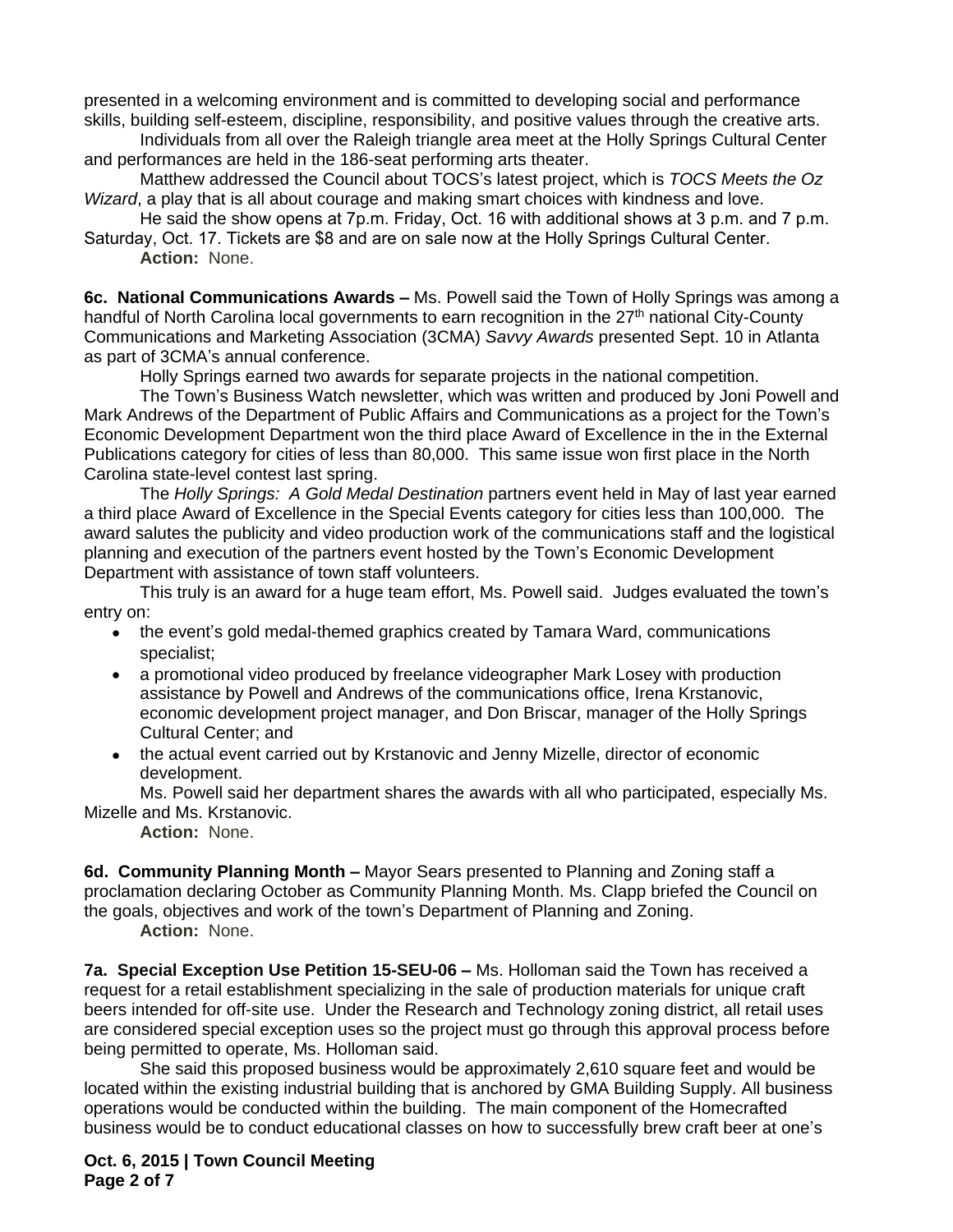presented in a welcoming environment and is committed to developing social and performance skills, building self-esteem, discipline, responsibility, and positive values through the creative arts.

Individuals from all over the Raleigh triangle area meet at the Holly Springs Cultural Center and performances are held in the 186-seat performing arts theater.

Matthew addressed the Council about TOCS's latest project, which is *TOCS Meets the Oz Wizard*, a play that is all about courage and making smart choices with kindness and love.

He said the show opens at 7p.m. Friday, Oct. 16 with additional shows at 3 p.m. and 7 p.m.

Saturday, Oct. 17. Tickets are \$8 and are on sale now at the Holly Springs Cultural Center. **Action:** None.

**6c. National Communications Awards –** Ms. Powell said the Town of Holly Springs was among a handful of North Carolina local governments to earn recognition in the 27<sup>th</sup> national City-County Communications and Marketing Association (3CMA) *Savvy Awards* presented Sept. 10 in Atlanta as part of 3CMA's annual conference.

Holly Springs earned two awards for separate projects in the national competition.

The Town's Business Watch newsletter, which was written and produced by Joni Powell and Mark Andrews of the Department of Public Affairs and Communications as a project for the Town's Economic Development Department won the third place Award of Excellence in the in the External Publications category for cities of less than 80,000. This same issue won first place in the North Carolina state-level contest last spring.

The *Holly Springs: A Gold Medal Destination* partners event held in May of last year earned a third place Award of Excellence in the Special Events category for cities less than 100,000. The award salutes the publicity and video production work of the communications staff and the logistical planning and execution of the partners event hosted by the Town's Economic Development Department with assistance of town staff volunteers.

This truly is an award for a huge team effort, Ms. Powell said. Judges evaluated the town's entry on:

- the event's gold medal-themed graphics created by Tamara Ward, communications specialist;
- a promotional video produced by freelance videographer Mark Losey with production assistance by Powell and Andrews of the communications office, Irena Krstanovic, economic development project manager, and Don Briscar, manager of the Holly Springs Cultural Center; and
- the actual event carried out by Krstanovic and Jenny Mizelle, director of economic development.

Ms. Powell said her department shares the awards with all who participated, especially Ms. Mizelle and Ms. Krstanovic.

**Action:** None.

**6d. Community Planning Month –** Mayor Sears presented to Planning and Zoning staff a proclamation declaring October as Community Planning Month. Ms. Clapp briefed the Council on the goals, objectives and work of the town's Department of Planning and Zoning. **Action:** None.

**7a. Special Exception Use Petition 15-SEU-06 –** Ms. Holloman said the Town has received a request for a retail establishment specializing in the sale of production materials for unique craft beers intended for off-site use. Under the Research and Technology zoning district, all retail uses are considered special exception uses so the project must go through this approval process before being permitted to operate, Ms. Holloman said.

She said this proposed business would be approximately 2,610 square feet and would be located within the existing industrial building that is anchored by GMA Building Supply. All business operations would be conducted within the building. The main component of the Homecrafted business would be to conduct educational classes on how to successfully brew craft beer at one's

**Oct. 6, 2015 | Town Council Meeting Page 2 of 7**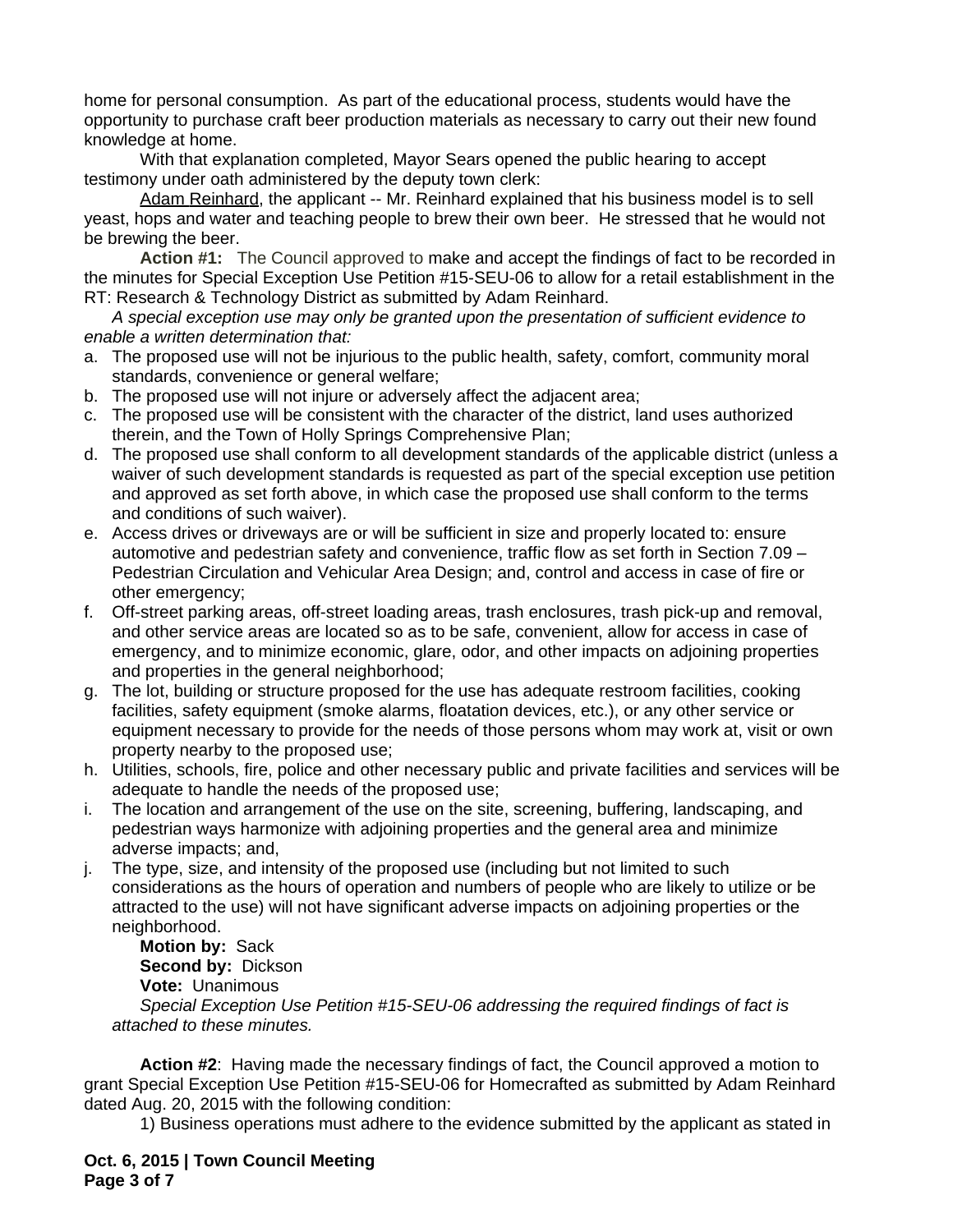home for personal consumption. As part of the educational process, students would have the opportunity to purchase craft beer production materials as necessary to carry out their new found knowledge at home.

With that explanation completed, Mayor Sears opened the public hearing to accept testimony under oath administered by the deputy town clerk:

Adam Reinhard, the applicant -- Mr. Reinhard explained that his business model is to sell yeast, hops and water and teaching people to brew their own beer. He stressed that he would not be brewing the beer.

**Action #1:** The Council approved to make and accept the findings of fact to be recorded in the minutes for Special Exception Use Petition #15-SEU-06 to allow for a retail establishment in the RT: Research & Technology District as submitted by Adam Reinhard.

*A special exception use may only be granted upon the presentation of sufficient evidence to enable a written determination that:*

- a. The proposed use will not be injurious to the public health, safety, comfort, community moral standards, convenience or general welfare;
- b. The proposed use will not injure or adversely affect the adjacent area;
- c. The proposed use will be consistent with the character of the district, land uses authorized therein, and the Town of Holly Springs Comprehensive Plan;
- d. The proposed use shall conform to all development standards of the applicable district (unless a waiver of such development standards is requested as part of the special exception use petition and approved as set forth above, in which case the proposed use shall conform to the terms and conditions of such waiver).
- e. Access drives or driveways are or will be sufficient in size and properly located to: ensure automotive and pedestrian safety and convenience, traffic flow as set forth in Section 7.09 – Pedestrian Circulation and Vehicular Area Design; and, control and access in case of fire or other emergency;
- f. Off-street parking areas, off-street loading areas, trash enclosures, trash pick-up and removal, and other service areas are located so as to be safe, convenient, allow for access in case of emergency, and to minimize economic, glare, odor, and other impacts on adjoining properties and properties in the general neighborhood;
- g. The lot, building or structure proposed for the use has adequate restroom facilities, cooking facilities, safety equipment (smoke alarms, floatation devices, etc.), or any other service or equipment necessary to provide for the needs of those persons whom may work at, visit or own property nearby to the proposed use;
- h. Utilities, schools, fire, police and other necessary public and private facilities and services will be adequate to handle the needs of the proposed use;
- i. The location and arrangement of the use on the site, screening, buffering, landscaping, and pedestrian ways harmonize with adjoining properties and the general area and minimize adverse impacts; and,
- j. The type, size, and intensity of the proposed use (including but not limited to such considerations as the hours of operation and numbers of people who are likely to utilize or be attracted to the use) will not have significant adverse impacts on adjoining properties or the neighborhood.

**Motion by:** Sack **Second by:** Dickson **Vote:** Unanimous *Special Exception Use Petition #15-SEU-06 addressing the required findings of fact is attached to these minutes.* 

**Action #2**: Having made the necessary findings of fact, the Council approved a motion to grant Special Exception Use Petition #15-SEU-06 for Homecrafted as submitted by Adam Reinhard dated Aug. 20, 2015 with the following condition:

1) Business operations must adhere to the evidence submitted by the applicant as stated in

**Oct. 6, 2015 | Town Council Meeting Page 3 of 7**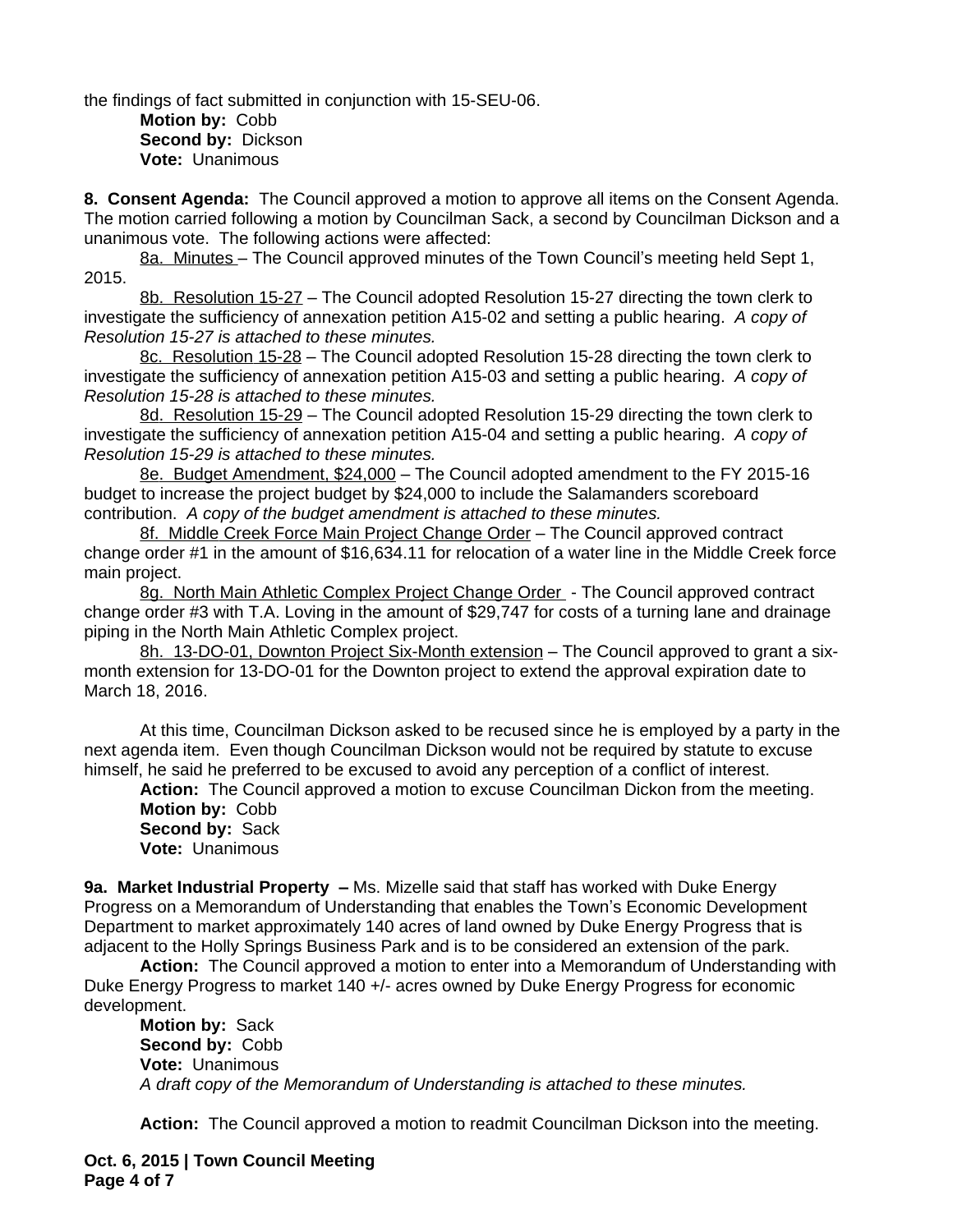the findings of fact submitted in conjunction with 15-SEU-06.

**Motion by:** Cobb **Second by:** Dickson **Vote:** Unanimous

**8. Consent Agenda:** The Council approved a motion to approve all items on the Consent Agenda. The motion carried following a motion by Councilman Sack, a second by Councilman Dickson and a unanimous vote. The following actions were affected:

8a. Minutes - The Council approved minutes of the Town Council's meeting held Sept 1, 2015.

8b. Resolution 15-27 - The Council adopted Resolution 15-27 directing the town clerk to investigate the sufficiency of annexation petition A15-02 and setting a public hearing. *A copy of Resolution 15-27 is attached to these minutes.*

8c. Resolution 15-28 – The Council adopted Resolution 15-28 directing the town clerk to investigate the sufficiency of annexation petition A15-03 and setting a public hearing. *A copy of Resolution 15-28 is attached to these minutes.*

8d. Resolution 15-29 – The Council adopted Resolution 15-29 directing the town clerk to investigate the sufficiency of annexation petition A15-04 and setting a public hearing. *A copy of Resolution 15-29 is attached to these minutes.*

8e. Budget Amendment, \$24,000 - The Council adopted amendment to the FY 2015-16 budget to increase the project budget by \$24,000 to include the Salamanders scoreboard contribution. *A copy of the budget amendment is attached to these minutes.*

8f. Middle Creek Force Main Project Change Order - The Council approved contract change order #1 in the amount of \$16,634.11 for relocation of a water line in the Middle Creek force main project.

8g. North Main Athletic Complex Project Change Order - The Council approved contract change order #3 with T.A. Loving in the amount of \$29,747 for costs of a turning lane and drainage piping in the North Main Athletic Complex project.

8h. 13-DO-01, Downton Project Six-Month extension – The Council approved to grant a sixmonth extension for 13-DO-01 for the Downton project to extend the approval expiration date to March 18, 2016.

At this time, Councilman Dickson asked to be recused since he is employed by a party in the next agenda item. Even though Councilman Dickson would not be required by statute to excuse himself, he said he preferred to be excused to avoid any perception of a conflict of interest.

**Action:** The Council approved a motion to excuse Councilman Dickon from the meeting. **Motion by:** Cobb

**Second by:** Sack **Vote:** Unanimous

**9a. Market Industrial Property –** Ms. Mizelle said that staff has worked with Duke Energy Progress on a Memorandum of Understanding that enables the Town's Economic Development Department to market approximately 140 acres of land owned by Duke Energy Progress that is adjacent to the Holly Springs Business Park and is to be considered an extension of the park.

**Action:** The Council approved a motion to enter into a Memorandum of Understanding with Duke Energy Progress to market 140 +/- acres owned by Duke Energy Progress for economic development.

**Motion by:** Sack **Second by:** Cobb **Vote:** Unanimous *A draft copy of the Memorandum of Understanding is attached to these minutes.*

**Action:** The Council approved a motion to readmit Councilman Dickson into the meeting.

**Oct. 6, 2015 | Town Council Meeting Page 4 of 7**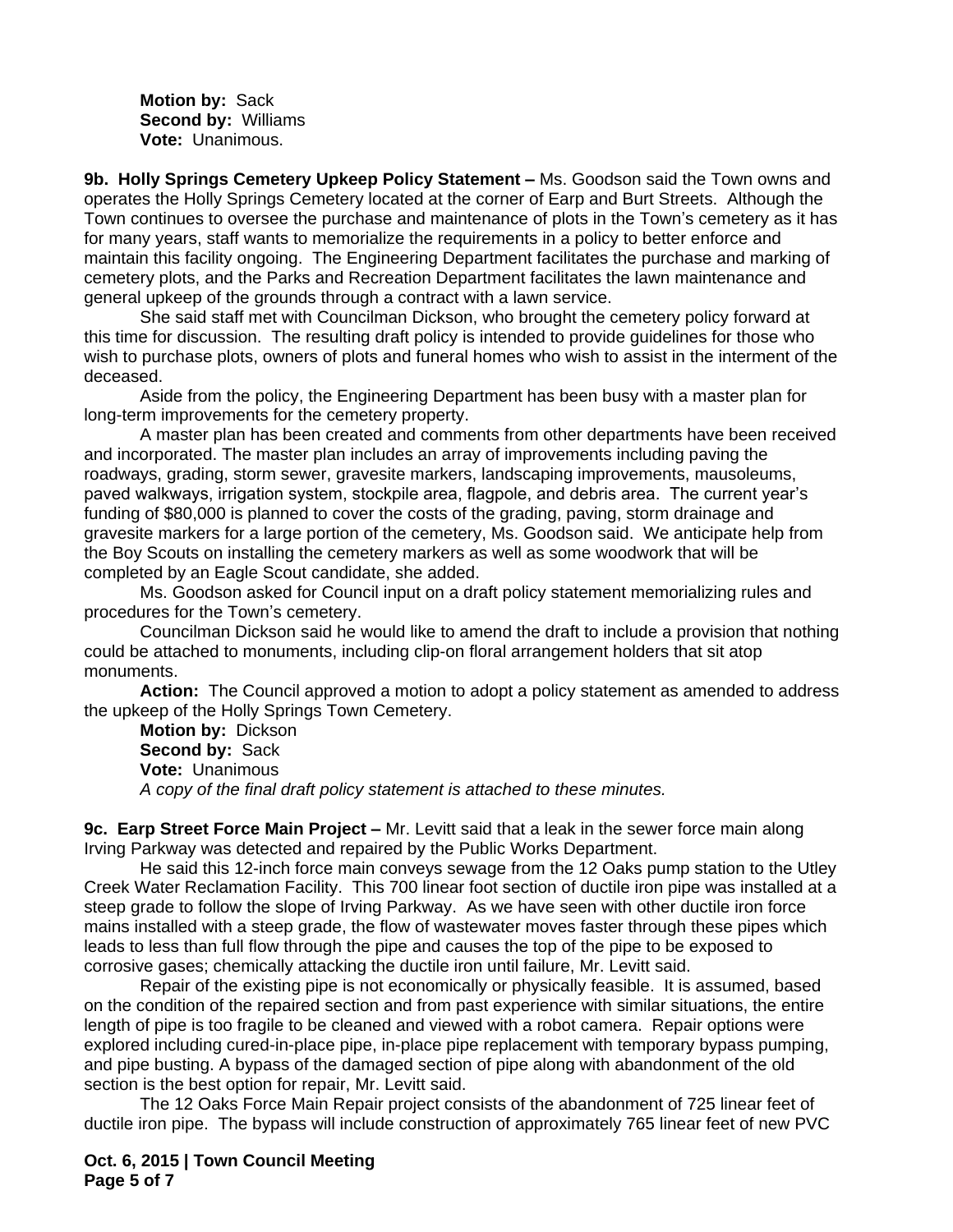**Motion by:** Sack **Second by:** Williams **Vote:** Unanimous.

**9b. Holly Springs Cemetery Upkeep Policy Statement – Ms. Goodson said the Town owns and** operates the Holly Springs Cemetery located at the corner of Earp and Burt Streets. Although the Town continues to oversee the purchase and maintenance of plots in the Town's cemetery as it has for many years, staff wants to memorialize the requirements in a policy to better enforce and maintain this facility ongoing. The Engineering Department facilitates the purchase and marking of cemetery plots, and the Parks and Recreation Department facilitates the lawn maintenance and general upkeep of the grounds through a contract with a lawn service.

She said staff met with Councilman Dickson, who brought the cemetery policy forward at this time for discussion. The resulting draft policy is intended to provide guidelines for those who wish to purchase plots, owners of plots and funeral homes who wish to assist in the interment of the deceased.

Aside from the policy, the Engineering Department has been busy with a master plan for long-term improvements for the cemetery property.

A master plan has been created and comments from other departments have been received and incorporated. The master plan includes an array of improvements including paving the roadways, grading, storm sewer, gravesite markers, landscaping improvements, mausoleums, paved walkways, irrigation system, stockpile area, flagpole, and debris area. The current year's funding of \$80,000 is planned to cover the costs of the grading, paving, storm drainage and gravesite markers for a large portion of the cemetery, Ms. Goodson said. We anticipate help from the Boy Scouts on installing the cemetery markers as well as some woodwork that will be completed by an Eagle Scout candidate, she added.

Ms. Goodson asked for Council input on a draft policy statement memorializing rules and procedures for the Town's cemetery.

Councilman Dickson said he would like to amend the draft to include a provision that nothing could be attached to monuments, including clip-on floral arrangement holders that sit atop monuments.

**Action:** The Council approved a motion to adopt a policy statement as amended to address the upkeep of the Holly Springs Town Cemetery.

**Motion by:** Dickson **Second by:** Sack **Vote:** Unanimous *A copy of the final draft policy statement is attached to these minutes.*

**9c. Earp Street Force Main Project –** Mr. Levitt said that a leak in the sewer force main along Irving Parkway was detected and repaired by the Public Works Department.

He said this 12-inch force main conveys sewage from the 12 Oaks pump station to the Utley Creek Water Reclamation Facility. This 700 linear foot section of ductile iron pipe was installed at a steep grade to follow the slope of Irving Parkway. As we have seen with other ductile iron force mains installed with a steep grade, the flow of wastewater moves faster through these pipes which leads to less than full flow through the pipe and causes the top of the pipe to be exposed to corrosive gases; chemically attacking the ductile iron until failure, Mr. Levitt said.

Repair of the existing pipe is not economically or physically feasible. It is assumed, based on the condition of the repaired section and from past experience with similar situations, the entire length of pipe is too fragile to be cleaned and viewed with a robot camera. Repair options were explored including cured-in-place pipe, in-place pipe replacement with temporary bypass pumping, and pipe busting. A bypass of the damaged section of pipe along with abandonment of the old section is the best option for repair, Mr. Levitt said.

The 12 Oaks Force Main Repair project consists of the abandonment of 725 linear feet of ductile iron pipe. The bypass will include construction of approximately 765 linear feet of new PVC

**Oct. 6, 2015 | Town Council Meeting Page 5 of 7**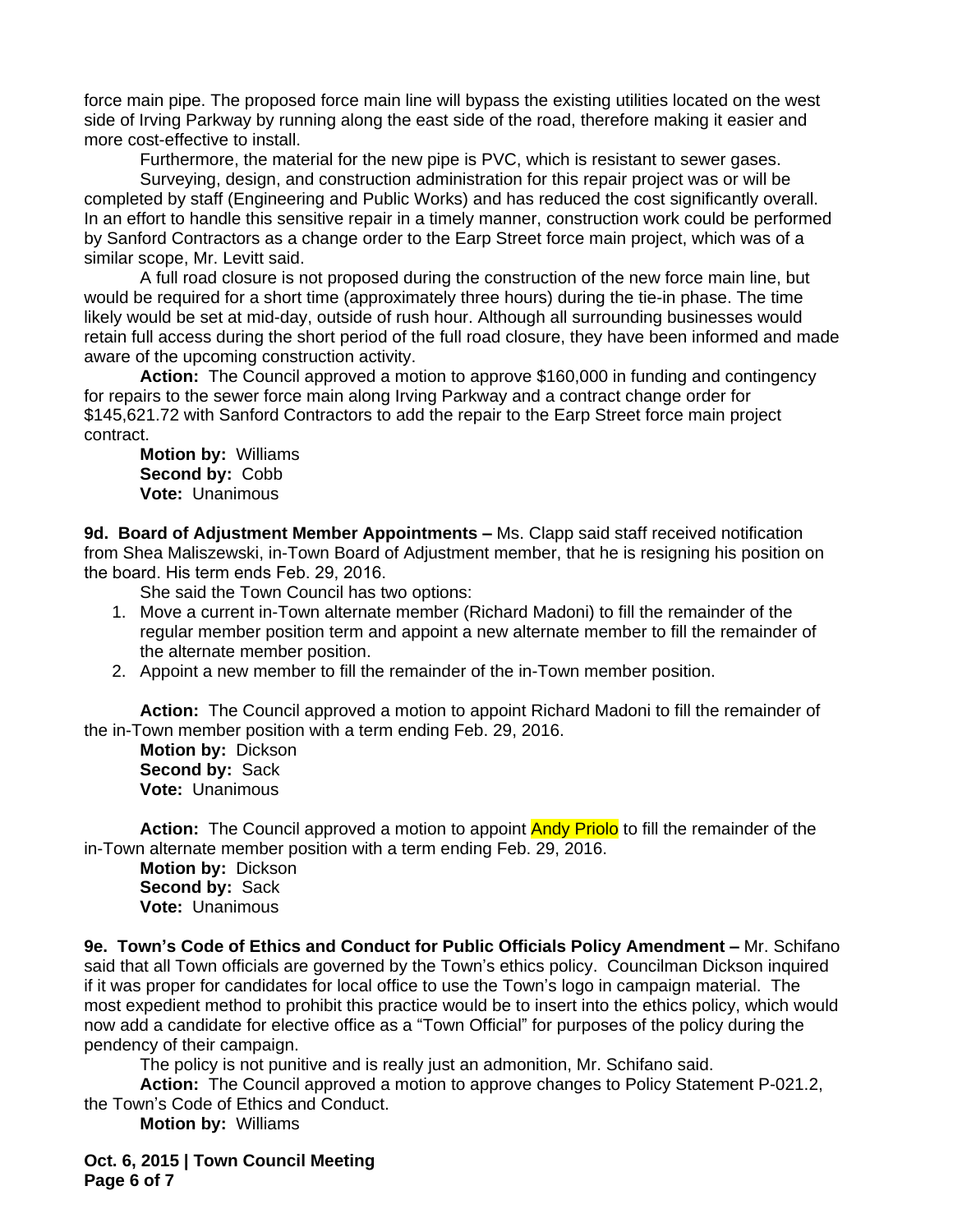force main pipe. The proposed force main line will bypass the existing utilities located on the west side of Irving Parkway by running along the east side of the road, therefore making it easier and more cost-effective to install.

Furthermore, the material for the new pipe is PVC, which is resistant to sewer gases.

Surveying, design, and construction administration for this repair project was or will be completed by staff (Engineering and Public Works) and has reduced the cost significantly overall. In an effort to handle this sensitive repair in a timely manner, construction work could be performed by Sanford Contractors as a change order to the Earp Street force main project, which was of a similar scope, Mr. Levitt said.

A full road closure is not proposed during the construction of the new force main line, but would be required for a short time (approximately three hours) during the tie-in phase. The time likely would be set at mid-day, outside of rush hour. Although all surrounding businesses would retain full access during the short period of the full road closure, they have been informed and made aware of the upcoming construction activity.

**Action:** The Council approved a motion to approve \$160,000 in funding and contingency for repairs to the sewer force main along Irving Parkway and a contract change order for \$145,621.72 with Sanford Contractors to add the repair to the Earp Street force main project contract.

**Motion by:** Williams **Second by:** Cobb **Vote:** Unanimous

9d. Board of Adjustment Member Appointments - Ms. Clapp said staff received notification from Shea Maliszewski, in-Town Board of Adjustment member, that he is resigning his position on the board. His term ends Feb. 29, 2016.

She said the Town Council has two options:

- 1. Move a current in-Town alternate member (Richard Madoni) to fill the remainder of the regular member position term and appoint a new alternate member to fill the remainder of the alternate member position.
- 2. Appoint a new member to fill the remainder of the in-Town member position.

**Action:** The Council approved a motion to appoint Richard Madoni to fill the remainder of the in-Town member position with a term ending Feb. 29, 2016.

**Motion by:** Dickson **Second by:** Sack **Vote:** Unanimous

**Action:** The Council approved a motion to appoint Andy Priolo to fill the remainder of the in-Town alternate member position with a term ending Feb. 29, 2016.

**Motion by:** Dickson **Second by:** Sack **Vote:** Unanimous

**9e. Town's Code of Ethics and Conduct for Public Officials Policy Amendment –** Mr. Schifano said that all Town officials are governed by the Town's ethics policy. Councilman Dickson inquired if it was proper for candidates for local office to use the Town's logo in campaign material. The most expedient method to prohibit this practice would be to insert into the ethics policy, which would now add a candidate for elective office as a "Town Official" for purposes of the policy during the pendency of their campaign.

The policy is not punitive and is really just an admonition, Mr. Schifano said.

**Action:** The Council approved a motion to approve changes to Policy Statement P-021.2, the Town's Code of Ethics and Conduct.

**Motion by:** Williams

**Oct. 6, 2015 | Town Council Meeting Page 6 of 7**